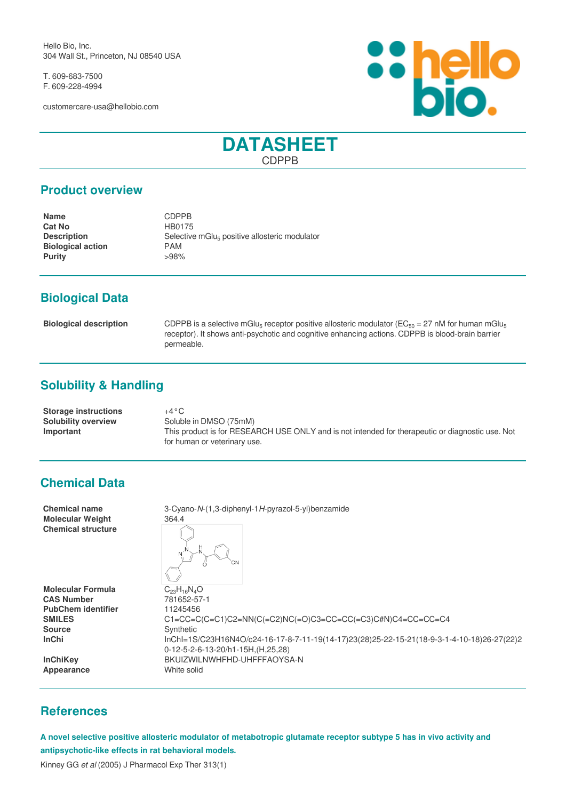Hello Bio, Inc. 304 Wall St., Princeton, NJ 08540 USA

T. 609-683-7500 F. 609-228-4994

customercare-usa@hellobio.com



# **DATASHEET** CDPPB

#### **Product overview**

**Name** CDPPB **Cat No HB0175 Description Selective mGlu<sub>5</sub> positive allosteric modulator Description Biological action**<br>
Purity  $>98\%$ **Purity** 

# **Biological Data**

| <b>Biological description</b> | CDPPB is a selective mGlu <sub>5</sub> receptor positive allosteric modulator (EC <sub>50</sub> = 27 nM for human mGlu <sub>5</sub> |
|-------------------------------|-------------------------------------------------------------------------------------------------------------------------------------|
|                               | receptor). It shows anti-psychotic and cognitive enhancing actions. CDPPB is blood-brain barrier                                    |
|                               | permeable.                                                                                                                          |

# **Solubility & Handling**

| <b>Storage instructions</b> | $+4\,^{\circ}\mathrm{C}$                                                                         |
|-----------------------------|--------------------------------------------------------------------------------------------------|
| Solubility overview         | Soluble in DMSO (75mM)                                                                           |
| Important                   | This product is for RESEARCH USE ONLY and is not intended for therapeutic or diagnostic use. Not |
|                             | for human or veterinary use.                                                                     |

### **Chemical Data**

**Chemical name** 3-Cyano-*N*-(1,3-diphenyl-1*H*-pyrazol-5-yl)benzamide **Molecular Weight** 364.4 **Chemical structure**

**Molecular Formula** C<sub>23</sub>H<sub>16</sub>N<sub>4</sub>O<br>**CAS Number** 781652-57-1 **CAS Number** 781652-57<br> **PubChem identifier** 11245456 **PubChem identifier Source** Synthetic

Appearance

**SMILES** C1=CC=C(C=C1)C2=NN(C(=C2)NC(=O)C3=CC=CC(=C3)C#N)C4=CC=CC=C4 InChi InChl=1S/C23H16N4O/c24-16-17-8-7-11-19(14-17)23(28)25-22-15-21(18-9-3-1-4-10-18)26-27(22)2 0-12-5-2-6-13-20/h1-15H,(H,25,28) **InChiKey** BKUIZWILNWHFHD-UHFFFAOYSA-N<br>
Mhite solid

### **References**

**A novel selective positive allosteric modulator of metabotropic glutamate receptor subtype 5 has in vivo activity and antipsychotic-like effects in rat behavioral models.**

Kinney GG *et al* (2005) J Pharmacol Exp Ther 313(1)